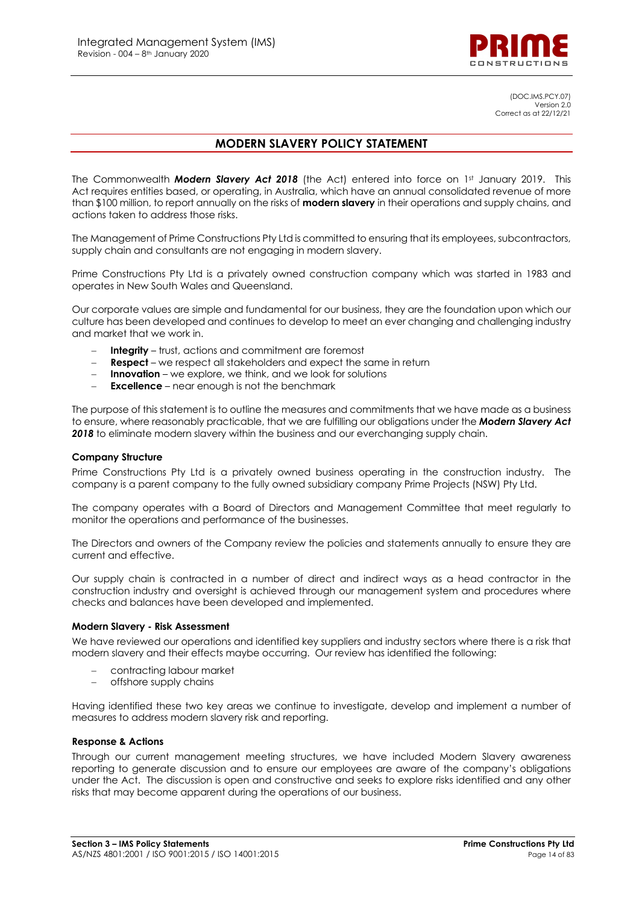

(DOC.IMS.PCY.07) Version 2.0 Correct as at 22/12/21

# **MODERN SLAVERY POLICY STATEMENT**

The Commonwealth **Modern Slavery Act 2018** (the Act) entered into force on 1st January 2019. This Act requires entities based, or operating, in Australia, which have an annual consolidated revenue of more than \$100 million, to report annually on the risks of **modern slavery** in their operations and supply chains, and actions taken to address those risks.

The Management of Prime Constructions Pty Ltd is committed to ensuring that its employees, subcontractors, supply chain and consultants are not engaging in modern slavery.

Prime Constructions Pty Ltd is a privately owned construction company which was started in 1983 and operates in New South Wales and Queensland.

Our corporate values are simple and fundamental for our business, they are the foundation upon which our culture has been developed and continues to develop to meet an ever changing and challenging industry and market that we work in.

- **Integrity** trust, actions and commitment are foremost
- **Respect** we respect all stakeholders and expect the same in return
- **Innovation** we explore, we think, and we look for solutions
- **Excellence** near enough is not the benchmark

The purpose of this statement is to outline the measures and commitments that we have made as a business to ensure, where reasonably practicable, that we are fulfilling our obligations under the *Modern Slavery Act*  **2018** to eliminate modern slavery within the business and our everchanging supply chain.

#### **Company Structure**

Prime Constructions Pty Ltd is a privately owned business operating in the construction industry. The company is a parent company to the fully owned subsidiary company Prime Projects (NSW) Pty Ltd.

The company operates with a Board of Directors and Management Committee that meet regularly to monitor the operations and performance of the businesses.

The Directors and owners of the Company review the policies and statements annually to ensure they are current and effective.

Our supply chain is contracted in a number of direct and indirect ways as a head contractor in the construction industry and oversight is achieved through our management system and procedures where checks and balances have been developed and implemented.

#### **Modern Slavery - Risk Assessment**

We have reviewed our operations and identified key suppliers and industry sectors where there is a risk that modern slavery and their effects maybe occurring. Our review has identified the following:

- contracting labour market
- offshore supply chains

Having identified these two key areas we continue to investigate, develop and implement a number of measures to address modern slavery risk and reporting.

### **Response & Actions**

Through our current management meeting structures, we have included Modern Slavery awareness reporting to generate discussion and to ensure our employees are aware of the company's obligations under the Act. The discussion is open and constructive and seeks to explore risks identified and any other risks that may become apparent during the operations of our business.